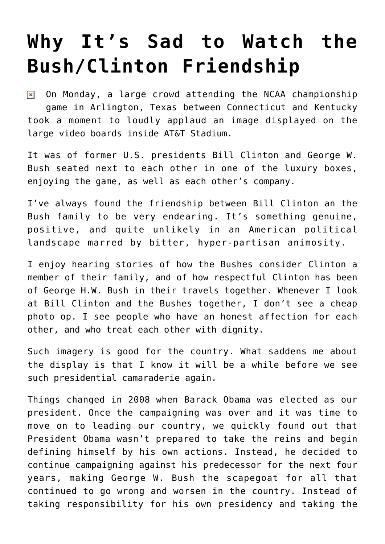## **[Why It's Sad to Watch the](https://bernardgoldberg.com/sad-watch-bushclinton-friendship/) [Bush/Clinton Friendship](https://bernardgoldberg.com/sad-watch-bushclinton-friendship/)**

On Monday, a large crowd attending the NCAA championship  $\pmb{\times}$ game in Arlington, Texas between Connecticut and Kentucky took a moment to loudly applaud an image displayed on the large video boards inside AT&T Stadium.

It was of former U.S. presidents Bill Clinton and George W. Bush seated next to each other in one of the luxury boxes, enjoying the game, as well as each other's company.

I've always found the friendship between Bill Clinton an the Bush family to be very endearing. It's something genuine, positive, and quite unlikely in an American political landscape marred by bitter, hyper-partisan animosity.

I enjoy hearing stories of how the Bushes consider Clinton a [member of their family,](http://www.nydailynews.com/news/politics/barbara-bush-gushes-bill-clinton-treats-george-h-w-bush-father-article-1.1113917) and of how respectful Clinton has been of George H.W. Bush in [their travels together.](http://news.bbc.co.uk/2/hi/asia-pacific/4325585.stm) Whenever I look at Bill Clinton and the Bushes together, I don't see a cheap photo op. I see people who have an honest affection for each other, and who treat each other with dignity.

Such imagery is good for the country. What saddens me about the display is that I know it will be a while before we see such presidential camaraderie again.

Things changed in 2008 when Barack Obama was elected as our president. Once the campaigning was over and it was time to move on to leading our country, we quickly found out that President Obama wasn't prepared to take the reins and begin defining himself by his own actions. Instead, he decided to continue campaigning against his predecessor for the next four years, making George W. Bush the scapegoat for all that continued to go wrong and worsen in the country. Instead of taking responsibility for his own presidency and taking the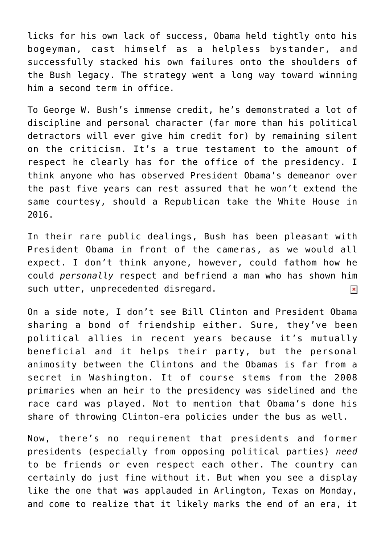licks for his own lack of success, Obama held tightly onto his bogeyman, cast himself as a helpless bystander, and successfully stacked his own failures onto the shoulders of the Bush legacy. The strategy went a long way toward winning him a second term in office.

To George W. Bush's immense credit, he's demonstrated a lot of discipline and personal character (far more than his political detractors will ever give him credit for) by remaining silent on the criticism. It's a true testament to the amount of respect he clearly has for the office of the presidency. I think anyone who has observed President Obama's demeanor over the past five years can rest assured that he won't extend the same courtesy, should a Republican take the White House in 2016.

In their rare public dealings, Bush has been pleasant with President Obama in front of the cameras, as we would all expect. I don't think anyone, however, could fathom how he could *personally* respect and befriend a man who has shown him such utter, unprecedented disregard.  $\pmb{\times}$ 

On a side note, I don't see Bill Clinton and President Obama sharing a bond of friendship either. Sure, they've been political allies in recent years because it's mutually beneficial and it helps their party, but the personal animosity between the Clintons and the Obamas is far from a secret in Washington. It of course stems from the 2008 primaries when an heir to the presidency was sidelined and the [race card was played](http://abcnews.go.com/blogs/politics/2008/04/bill-clinton-ob-2/). Not to mention that Obama's done his share of throwing Clinton-era policies [under the bus](http://www.redstate.com/diary/erick/2011/12/15/barack-obama-throws-bill-clinton-under-the-bus/) as well.

Now, there's no requirement that presidents and former presidents (especially from opposing political parties) *need* to be friends or even respect each other. The country can certainly do just fine without it. But when you see a display like the one that was applauded in Arlington, Texas on Monday, and come to realize that it likely marks the end of an era, it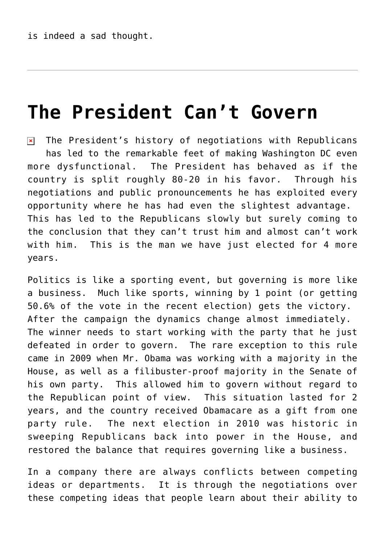## **[The President Can't Govern](https://bernardgoldberg.com/the-president-cant-govern/)**

The President's history of negotiations with Republicans  $\pmb{\times}$ has led to the remarkable feet of making Washington DC even more dysfunctional. The President has behaved as if the country is split roughly 80-20 in his favor. Through his negotiations and public pronouncements he has exploited every opportunity where he has had even the slightest advantage. This has led to the Republicans slowly but surely coming to the conclusion that they can't trust him and almost can't work with him. This is the man we have just elected for 4 more years.

Politics is like a sporting event, but governing is more like a business. Much like sports, winning by 1 point (or getting 50.6% of the vote in the recent election) gets the victory. After the campaign the dynamics change almost immediately. The winner needs to start working with the party that he just defeated in order to govern. The rare exception to this rule came in 2009 when Mr. Obama was working with a majority in the House, as well as a filibuster-proof majority in the Senate of his own party. This allowed him to govern without regard to the Republican point of view. This situation lasted for 2 years, and the country received Obamacare as a gift from one party rule. The next election in 2010 was historic in sweeping Republicans back into power in the House, and restored the balance that requires governing like a business.

In a company there are always conflicts between competing ideas or departments. It is through the negotiations over these competing ideas that people learn about their ability to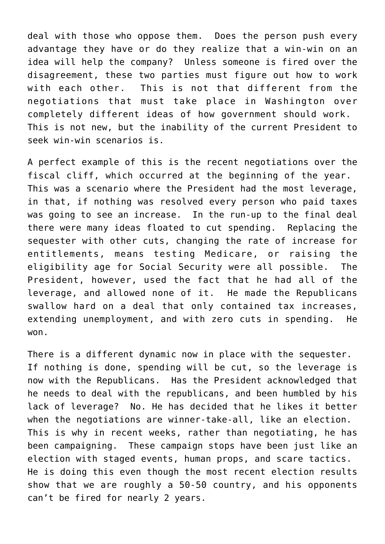deal with those who oppose them. Does the person push every advantage they have or do they realize that a win-win on an idea will help the company? Unless someone is fired over the disagreement, these two parties must figure out how to work with each other. This is not that different from the negotiations that must take place in Washington over completely different ideas of how government should work. This is not new, but the inability of the current President to seek win-win scenarios is.

A perfect example of this is the recent negotiations over the fiscal cliff, which occurred at the beginning of the year. This was a scenario where the President had the most leverage, in that, if nothing was resolved every person who paid taxes was going to see an increase. In the run-up to the final deal there were many ideas floated to cut spending. Replacing the sequester with other cuts, changing the rate of increase for entitlements, means testing Medicare, or raising the eligibility age for Social Security were all possible. The President, however, used the fact that he had all of the leverage, and allowed none of it. He made the Republicans swallow hard on a deal that only contained tax increases, extending unemployment, and with zero cuts in spending. He won.

There is a different dynamic now in place with the sequester. If nothing is done, spending will be cut, so the leverage is now with the Republicans. Has the President acknowledged that he needs to deal with the republicans, and been humbled by his lack of leverage? No. He has decided that he likes it better when the negotiations are winner-take-all, like an election. This is why in recent weeks, rather than negotiating, he has been campaigning. These campaign stops have been just like an election with staged events, human props, and scare tactics. He is doing this even though the most recent election results show that we are roughly a 50-50 country, and his opponents can't be fired for nearly 2 years.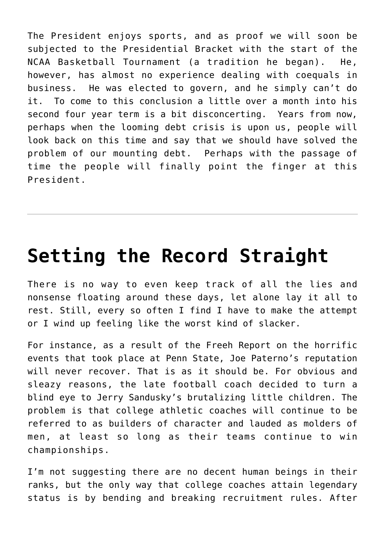The President enjoys sports, and as proof we will soon be subjected to the Presidential Bracket with the start of the NCAA Basketball Tournament (a tradition he began). He, however, has almost no experience dealing with coequals in business. He was elected to govern, and he simply can't do it. To come to this conclusion a little over a month into his second four year term is a bit disconcerting. Years from now, perhaps when the looming debt crisis is upon us, people will look back on this time and say that we should have solved the problem of our mounting debt. Perhaps with the passage of time the people will finally point the finger at this President.

## **[Setting the Record Straight](https://bernardgoldberg.com/setting-the-record-straight/)**

There is no way to even keep track of all the lies and nonsense floating around these days, let alone lay it all to rest. Still, every so often I find I have to make the attempt or I wind up feeling like the worst kind of slacker.

For instance, as a result of the Freeh Report on the horrific events that took place at Penn State, Joe Paterno's reputation will never recover. That is as it should be. For obvious and sleazy reasons, the late football coach decided to turn a blind eye to Jerry Sandusky's brutalizing little children. The problem is that college athletic coaches will continue to be referred to as builders of character and lauded as molders of men, at least so long as their teams continue to win championships.

I'm not suggesting there are no decent human beings in their ranks, but the only way that college coaches attain legendary status is by bending and breaking recruitment rules. After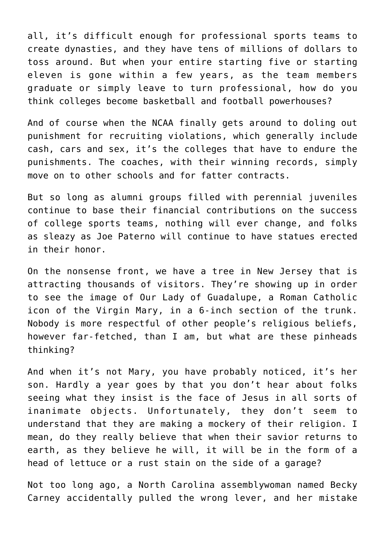all, it's difficult enough for professional sports teams to create dynasties, and they have tens of millions of dollars to toss around. But when your entire starting five or starting eleven is gone within a few years, as the team members graduate or simply leave to turn professional, how do you think colleges become basketball and football powerhouses?

And of course when the NCAA finally gets around to doling out punishment for recruiting violations, which generally include cash, cars and sex, it's the colleges that have to endure the punishments. The coaches, with their winning records, simply move on to other schools and for fatter contracts.

But so long as alumni groups filled with perennial juveniles continue to base their financial contributions on the success of college sports teams, nothing will ever change, and folks as sleazy as Joe Paterno will continue to have statues erected in their honor.

On the nonsense front, we have a tree in New Jersey that is attracting thousands of visitors. They're showing up in order to see the image of Our Lady of Guadalupe, a Roman Catholic icon of the Virgin Mary, in a 6-inch section of the trunk. Nobody is more respectful of other people's religious beliefs, however far-fetched, than I am, but what are these pinheads thinking?

And when it's not Mary, you have probably noticed, it's her son. Hardly a year goes by that you don't hear about folks seeing what they insist is the face of Jesus in all sorts of inanimate objects. Unfortunately, they don't seem to understand that they are making a mockery of their religion. I mean, do they really believe that when their savior returns to earth, as they believe he will, it will be in the form of a head of lettuce or a rust stain on the side of a garage?

Not too long ago, a North Carolina assemblywoman named Becky Carney accidentally pulled the wrong lever, and her mistake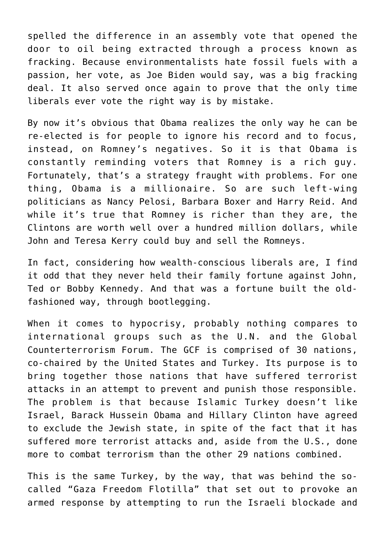spelled the difference in an assembly vote that opened the door to oil being extracted through a process known as fracking. Because environmentalists hate fossil fuels with a passion, her vote, as Joe Biden would say, was a big fracking deal. It also served once again to prove that the only time liberals ever vote the right way is by mistake.

By now it's obvious that Obama realizes the only way he can be re-elected is for people to ignore his record and to focus, instead, on Romney's negatives. So it is that Obama is constantly reminding voters that Romney is a rich guy. Fortunately, that's a strategy fraught with problems. For one thing, Obama is a millionaire. So are such left-wing politicians as Nancy Pelosi, Barbara Boxer and Harry Reid. And while it's true that Romney is richer than they are, the Clintons are worth well over a hundred million dollars, while John and Teresa Kerry could buy and sell the Romneys.

In fact, considering how wealth-conscious liberals are, I find it odd that they never held their family fortune against John, Ted or Bobby Kennedy. And that was a fortune built the oldfashioned way, through bootlegging.

When it comes to hypocrisy, probably nothing compares to international groups such as the U.N. and the Global Counterterrorism Forum. The GCF is comprised of 30 nations, co-chaired by the United States and Turkey. Its purpose is to bring together those nations that have suffered terrorist attacks in an attempt to prevent and punish those responsible. The problem is that because Islamic Turkey doesn't like Israel, Barack Hussein Obama and Hillary Clinton have agreed to exclude the Jewish state, in spite of the fact that it has suffered more terrorist attacks and, aside from the U.S., done more to combat terrorism than the other 29 nations combined.

This is the same Turkey, by the way, that was behind the socalled "Gaza Freedom Flotilla" that set out to provoke an armed response by attempting to run the Israeli blockade and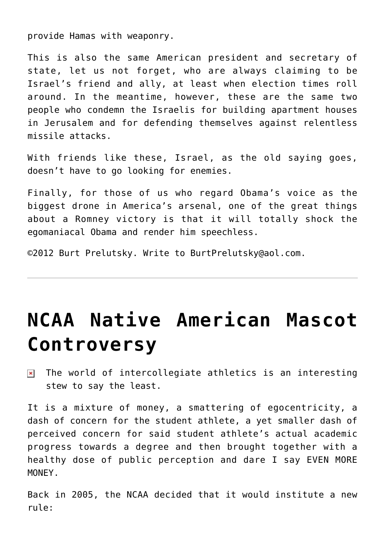provide Hamas with weaponry.

This is also the same American president and secretary of state, let us not forget, who are always claiming to be Israel's friend and ally, at least when election times roll around. In the meantime, however, these are the same two people who condemn the Israelis for building apartment houses in Jerusalem and for defending themselves against relentless missile attacks.

With friends like these, Israel, as the old saying goes, doesn't have to go looking for enemies.

Finally, for those of us who regard Obama's voice as the biggest drone in America's arsenal, one of the great things about a Romney victory is that it will totally shock the egomaniacal Obama and render him speechless.

©2012 [Burt Prelutsky](mailto:BurtPrelutsky@aol.com). Write to [BurtPrelutsky@aol.com.](mailto:BurtPrelutsky@aol.com)

## **[NCAA Native American Mascot](https://bernardgoldberg.com/ncaa-native-american-mascot-controversy/) [Controversy](https://bernardgoldberg.com/ncaa-native-american-mascot-controversy/)**

The world of intercollegiate athletics is an interesting  $\pmb{\times}$ stew to say the least.

It is a mixture of money, a smattering of egocentricity, a dash of concern for the student athlete, a yet smaller dash of perceived concern for said student athlete's actual academic progress towards a degree and then brought together with a healthy dose of public perception and dare I say EVEN MORE MONEY.

Back in 2005, the NCAA decided that it would institute a new rule: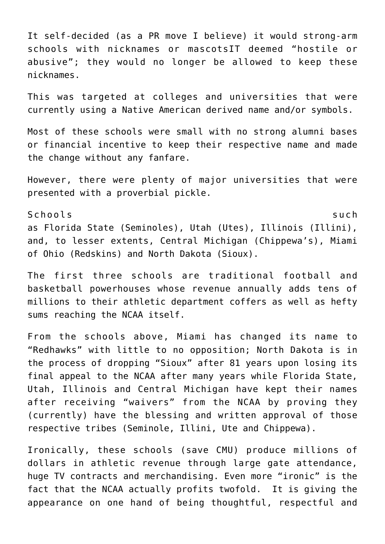It self-decided (as a PR move I believe) it would strong-arm schools with nicknames or mascotsIT deemed "hostile or abusive"; they would no longer be allowed to keep these nicknames.

This was targeted at colleges and universities that were currently using a Native American derived name and/or symbols.

Most of these schools were small with no strong alumni bases or financial incentive to keep their respective name and made the change without any fanfare.

However, there were plenty of major universities that were presented with a proverbial pickle.

Schools such as Florida State (Seminoles), Utah (Utes), Illinois (Illini), and, to lesser extents, Central Michigan (Chippewa's), Miami of Ohio (Redskins) and North Dakota (Sioux).

The first three schools are traditional football and basketball powerhouses whose revenue annually adds tens of millions to their athletic department coffers as well as hefty sums reaching the NCAA itself.

From the schools above, Miami has changed its name to "Redhawks" with little to no opposition; North Dakota is in the process of dropping "Sioux" after 81 years upon losing its final appeal to the NCAA after many years while Florida State, Utah, Illinois and Central Michigan have kept their names after receiving "waivers" from the NCAA by proving they (currently) have the blessing and written approval of those respective tribes (Seminole, Illini, Ute and Chippewa).

Ironically, these schools (save CMU) produce millions of dollars in athletic revenue through large gate attendance, huge TV contracts and merchandising. Even more "ironic" is the fact that the NCAA actually profits twofold. It is giving the appearance on one hand of being thoughtful, respectful and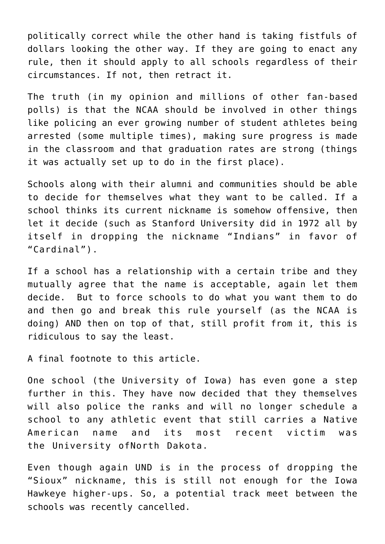politically correct while the other hand is taking fistfuls of dollars looking the other way. If they are going to enact any rule, then it should apply to all schools regardless of their circumstances. If not, then retract it.

The truth (in my opinion and millions of other fan-based polls) is that the NCAA should be involved in other things like policing an ever growing number of student athletes being arrested (some multiple times), making sure progress is made in the classroom and that graduation rates are strong (things it was actually set up to do in the first place).

Schools along with their alumni and communities should be able to decide for themselves what they want to be called. If a school thinks its current nickname is somehow offensive, then let it decide (such as Stanford University did in 1972 all by itself in dropping the nickname "Indians" in favor of "Cardinal").

If a school has a relationship with a certain tribe and they mutually agree that the name is acceptable, again let them decide. But to force schools to do what you want them to do and then go and break this rule yourself (as the NCAA is doing) AND then on top of that, still profit from it, this is ridiculous to say the least.

A final footnote to this article.

One school (the University of Iowa) has even gone a step further in this. They have now decided that they themselves will also police the ranks and will no longer schedule a school to any athletic event that still carries a Native American name and its most recent victim was the University ofNorth Dakota.

Even though again UND is in the process of dropping the "Sioux" nickname, this is still not enough for the Iowa Hawkeye higher-ups. So, a potential track meet between the schools was recently cancelled.